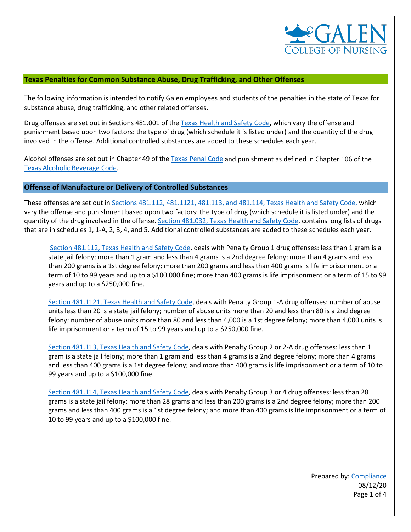

#### **Texas Penalties for Common Substance Abuse, Drug Trafficking, and Other Offenses**

The following information is intended to notify Galen employees and students of the penalties in the state of Texas for substance abuse, drug trafficking, and other related offenses.

Drug offenses are set out in Sections 481.001 of th[e Texas Health and Safety Code,](https://statutes.capitol.texas.gov/docs/HS/htm/HS.481.htm) which vary the offense and punishment based upon two factors: the type of drug (which schedule it is listed under) and the quantity of the drug involved in the offense. Additional controlled substances are added to these schedules each year.

Alcohol offenses are set out in Chapter 49 of th[e Texas Penal Code](https://statutes.capitol.texas.gov/Docs/PE/htm/PE.49.htm) and punishment as defined in Chapter 106 of the [Texas Alcoholic Beverage Code.](https://statutes.capitol.texas.gov/Docs/AL/htm/AL.106.htm)

#### **Offense of Manufacture or Delivery of Controlled Substances**

These offenses are set out in [Sections 481.112, 481.1121, 481.113, and 481.114, Texas Health and Safety Code,](https://statutes.capitol.texas.gov/docs/HS/htm/HS.481.htm) which vary the offense and punishment based upon two factors: the type of drug (which schedule it is listed under) and the quantity of the drug involved in the offense[. Section 481.032, Texas Health and Safety Code,](https://statutes.capitol.texas.gov/docs/HS/htm/HS.481.htm) contains long lists of drugs that are in schedules 1, 1-A, 2, 3, 4, and 5. Additional controlled substances are added to these schedules each year.

[Section 481.112, Texas Health and Safety Code,](https://statutes.capitol.texas.gov/docs/HS/htm/HS.481.htm) deals with Penalty Group 1 drug offenses: less than 1 gram is a state jail felony; more than 1 gram and less than 4 grams is a 2nd degree felony; more than 4 grams and less than 200 grams is a 1st degree felony; more than 200 grams and less than 400 grams is life imprisonment or a term of 10 to 99 years and up to a \$100,000 fine; more than 400 grams is life imprisonment or a term of 15 to 99 years and up to a \$250,000 fine.

[Section 481.1121, Texas Health and Safety Code,](https://statutes.capitol.texas.gov/docs/HS/htm/HS.481.htm) deals with Penalty Group 1-A drug offenses: number of abuse units less than 20 is a state jail felony; number of abuse units more than 20 and less than 80 is a 2nd degree felony; number of abuse units more than 80 and less than 4,000 is a 1st degree felony; more than 4,000 units is life imprisonment or a term of 15 to 99 years and up to a \$250,000 fine.

[Section 481.113, Texas Health and Safety Code,](https://statutes.capitol.texas.gov/docs/HS/htm/HS.481.htm) deals with Penalty Group 2 or 2-A drug offenses: less than 1 gram is a state jail felony; more than 1 gram and less than 4 grams is a 2nd degree felony; more than 4 grams and less than 400 grams is a 1st degree felony; and more than 400 grams is life imprisonment or a term of 10 to 99 years and up to a \$100,000 fine.

[Section 481.114, Texas Health and Safety Code,](https://statutes.capitol.texas.gov/docs/HS/htm/HS.481.htm) deals with Penalty Group 3 or 4 drug offenses: less than 28 grams is a state jail felony; more than 28 grams and less than 200 grams is a 2nd degree felony; more than 200 grams and less than 400 grams is a 1st degree felony; and more than 400 grams is life imprisonment or a term of 10 to 99 years and up to a \$100,000 fine.

> Prepared by[: Compliance](mailto:compliance@galencollege.edu) 08/12/20 Page 1 of 4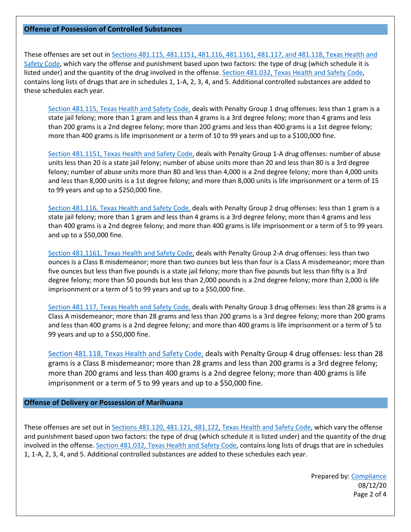#### **Offense of Possession of Controlled Substances**

These offenses are set out in Sections 481.115, 481.1151, 481.116, 481.1161, [481.117, and 481.118, Texas Health and](https://statutes.capitol.texas.gov/docs/HS/htm/HS.481.htm)  [Safety Code,](https://statutes.capitol.texas.gov/docs/HS/htm/HS.481.htm) which vary the offense and punishment based upon two factors: the type of drug (which schedule it is listed under) and the quantity of the drug involved in the offense[. Section 481.032, Texas Health and Safety Code,](https://statutes.capitol.texas.gov/docs/HS/htm/HS.481.htm) contains long lists of drugs that are in schedules 1, 1-A, 2, 3, 4, and 5. Additional controlled substances are added to these schedules each year.

[Section 481.115, Texas Health and Safety Code,](https://statutes.capitol.texas.gov/docs/HS/htm/HS.481.htm) deals with Penalty Group 1 drug offenses: less than 1 gram is a state jail felony; more than 1 gram and less than 4 grams is a 3rd degree felony; more than 4 grams and less than 200 grams is a 2nd degree felony; more than 200 grams and less than 400 grams is a 1st degree felony; more than 400 grams is life imprisonment or a term of 10 to 99 years and up to a \$100,000 fine.

[Section 481.1151, Texas Health and Safety Code,](https://statutes.capitol.texas.gov/docs/HS/htm/HS.481.htm) deals with Penalty Group 1-A drug offenses: number of abuse units less than 20 is a state jail felony; number of abuse units more than 20 and less than 80 is a 3rd degree felony; number of abuse units more than 80 and less than 4,000 is a 2nd degree felony; more than 4,000 units and less than 8,000 units is a 1st degree felony; and more than 8,000 units is life imprisonment or a term of 15 to 99 years and up to a \$250,000 fine.

[Section 481.116, Texas Health and Safety Code,](https://statutes.capitol.texas.gov/docs/HS/htm/HS.481.htm) deals with Penalty Group 2 drug offenses: less than 1 gram is a state jail felony; more than 1 gram and less than 4 grams is a 3rd degree felony; more than 4 grams and less than 400 grams is a 2nd degree felony; and more than 400 grams is life imprisonment or a term of 5 to 99 years and up to a \$50,000 fine.

Section [481.1161, Texas Health and Safety Code,](https://statutes.capitol.texas.gov/docs/HS/htm/HS.481.htm) deals with Penalty Group 2-A drug offenses: less than two ounces is a Class B misdemeanor; more than two ounces but less than four is a Class A misdemeanor; more than five ounces but less than five pounds is a state jail felony; more than five pounds but less than fifty is a 3rd degree felony; more than 50 pounds but less than 2,000 pounds is a 2nd degree felony; more than 2,000 is life imprisonment or a term of 5 to 99 years and up to a \$50,000 fine.

[Section 481.117, Texas Health and Safety Code,](https://statutes.capitol.texas.gov/docs/HS/htm/HS.481.htm) deals with Penalty Group 3 drug offenses: less than 28 grams is a Class A misdemeanor; more than 28 grams and less than 200 grams is a 3rd degree felony; more than 200 grams and less than 400 grams is a 2nd degree felony; and more than 400 grams is life imprisonment or a term of 5 to 99 years and up to a \$50,000 fine.

[Section 481.118, Texas Health and Safety Code,](https://statutes.capitol.texas.gov/docs/HS/htm/HS.481.htm) deals with Penalty Group 4 drug offenses: less than 28 grams is a Class B misdemeanor; more than 28 grams and less than 200 grams is a 3rd degree felony; more than 200 grams and less than 400 grams is a 2nd degree felony; more than 400 grams is life imprisonment or a term of 5 to 99 years and up to a \$50,000 fine.

## **Offense of Delivery or Possession of Marihuana**

These offenses are set out in [Sections 481.120, 481.121, 481.122, Texas Health and Safety Code,](https://statutes.capitol.texas.gov/docs/HS/htm/HS.481.htm) which vary the offense and punishment based upon two factors: the type of drug (which schedule it is listed under) and the quantity of the drug involved in the offense[. Section 481.032, Texas Health and Safety Code,](https://statutes.capitol.texas.gov/docs/HS/htm/HS.481.htm) contains long lists of drugs that are in schedules 1, 1-A, 2, 3, 4, and 5. Additional controlled substances are added to these schedules each year.

> Prepared by[: Compliance](mailto:compliance@galencollege.edu) 08/12/20 Page 2 of 4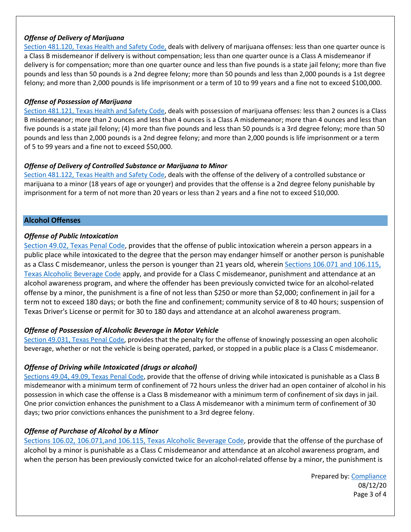### *Offense of Delivery of Marijuana*

[Section 481.120, Texas Health and Safety Code,](https://statutes.capitol.texas.gov/docs/HS/htm/HS.481.htm) deals with delivery of marijuana offenses: less than one quarter ounce is a Class B misdemeanor if delivery is without compensation; less than one quarter ounce is a Class A misdemeanor if delivery is for compensation; more than one quarter ounce and less than five pounds is a state jail felony; more than five pounds and less than 50 pounds is a 2nd degree felony; more than 50 pounds and less than 2,000 pounds is a 1st degree felony; and more than 2,000 pounds is life imprisonment or a term of 10 to 99 years and a fine not to exceed \$100,000.

#### *Offense of Possession of Marijuana*

[Section 481.121, Texas Health and Safety Code,](https://statutes.capitol.texas.gov/docs/HS/htm/HS.481.htm) deals with possession of marijuana offenses: less than 2 ounces is a Class B misdemeanor; more than 2 ounces and less than 4 ounces is a Class A misdemeanor; more than 4 ounces and less than five pounds is a state jail felony; (4) more than five pounds and less than 50 pounds is a 3rd degree felony; more than 50 pounds and less than 2,000 pounds is a 2nd degree felony; and more than 2,000 pounds is life imprisonment or a term of 5 to 99 years and a fine not to exceed \$50,000.

#### *Offense of Delivery of Controlled Substance or Marijuana to Minor*

[Section 481.122, Texas Health and Safety Code,](https://statutes.capitol.texas.gov/docs/HS/htm/HS.481.htm) deals with the offense of the delivery of a controlled substance or marijuana to a minor (18 years of age or younger) and provides that the offense is a 2nd degree felony punishable by imprisonment for a term of not more than 20 years or less than 2 years and a fine not to exceed \$10,000.

#### **Alcohol Offenses**

## *Offense of Public Intoxication*

[Section 49.02, Texas Penal Code,](https://statutes.capitol.texas.gov/Docs/PE/htm/PE.49.htm) provides that the offense of public intoxication wherein a person appears in a public place while intoxicated to the degree that the person may endanger himself or another person is punishable as a Class C misdemeanor, unless the person is younger than 21 years old, wherei[n Sections 106.071 and 106.115,](https://statutes.capitol.texas.gov/Docs/AL/htm/AL.106.htm)  [Texas Alcoholic Beverage Code](https://statutes.capitol.texas.gov/Docs/AL/htm/AL.106.htm) apply, and provide for a Class C misdemeanor, punishment and attendance at an alcohol awareness program, and where the offender has been previously convicted twice for an alcohol-related offense by a minor, the punishment is a fine of not less than \$250 or more than \$2,000; confinement in jail for a term not to exceed 180 days; or both the fine and confinement; community service of 8 to 40 hours; suspension of Texas Driver's License or permit for 30 to 180 days and attendance at an alcohol awareness program.

## *Offense of Possession of Alcoholic Beverage in Motor Vehicle*

[Section 49.031, Texas Penal Code,](https://statutes.capitol.texas.gov/Docs/PE/htm/PE.49.htm) provides that the penalty for the offense of knowingly possessing an open alcoholic beverage, whether or not the vehicle is being operated, parked, or stopped in a public place is a Class C misdemeanor.

## *Offense of Driving while Intoxicated (drugs or alcohol)*

[Sections 49.04, 49.09, Texas Penal Code,](https://statutes.capitol.texas.gov/Docs/PE/htm/PE.49.htm) provide that the offense of driving while intoxicated is punishable as a Class B misdemeanor with a minimum term of confinement of 72 hours unless the driver had an open container of alcohol in his possession in which case the offense is a Class B misdemeanor with a minimum term of confinement of six days in jail. One prior conviction enhances the punishment to a Class A misdemeanor with a minimum term of confinement of 30 days; two prior convictions enhances the punishment to a 3rd degree felony.

## *Offense of Purchase of Alcohol by a Minor*

[Sections 106.02, 106.071,and 106.115, Texas Alcoholic Beverage Code,](https://statutes.capitol.texas.gov/Docs/AL/htm/AL.106.htm) provide that the offense of the purchase of alcohol by a minor is punishable as a Class C misdemeanor and attendance at an alcohol awareness program, and when the person has been previously convicted twice for an alcohol-related offense by a minor, the punishment is

> Prepared by[: Compliance](mailto:compliance@galencollege.edu) 08/12/20 Page 3 of 4